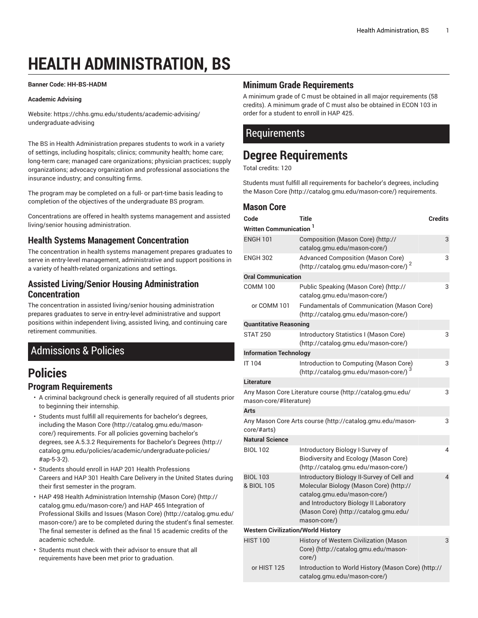# **HEALTH ADMINISTRATION, BS**

#### <span id="page-0-0"></span>**Banner Code: HH-BS-HADM**

#### **Academic Advising**

Website: https://chhs.gmu.edu/students/academic-advising/ undergraduate-advising

The BS in Health Administration prepares students to work in a variety of settings, including hospitals; clinics; community health; home care; long-term care; managed care organizations; physician practices; supply organizations; advocacy organization and professional associations the insurance industry; and consulting firms.

The program may be completed on a full- or part-time basis leading to completion of the objectives of the undergraduate BS program.

Concentrations are offered in health systems management and assisted living/senior housing administration.

#### **Health Systems Management Concentration**

The concentration in health systems management prepares graduates to serve in entry-level management, administrative and support positions in a variety of health-related organizations and settings.

#### **Assisted Living/Senior Housing Administration Concentration**

The concentration in assisted living/senior housing administration prepares graduates to serve in entry-level administrative and support positions within independent living, assisted living, and continuing care retirement communities.

# Admissions & Policies

# **Policies**

#### **Program Requirements**

- A criminal background check is generally required of all students prior to beginning their internship.
- Students must fulfill all requirements for bachelor's degrees, including the [Mason](http://catalog.gmu.edu/mason-core/) Core [\(http://catalog.gmu.edu/mason](http://catalog.gmu.edu/mason-core/)[core/\)](http://catalog.gmu.edu/mason-core/) requirements. For all policies governing bachelor's degrees, see A.5.3.2 [Requirements](http://catalog.gmu.edu/policies/academic/undergraduate-policies/#ap-5-3-2) for Bachelor's Degrees [\(http://](http://catalog.gmu.edu/policies/academic/undergraduate-policies/#ap-5-3-2) [catalog.gmu.edu/policies/academic/undergraduate-policies/](http://catalog.gmu.edu/policies/academic/undergraduate-policies/#ap-5-3-2) [#ap-5-3-2\)](http://catalog.gmu.edu/policies/academic/undergraduate-policies/#ap-5-3-2).
- Students should enroll in [HAP](/search/?P=HAP%20201) 201 Health Professions Careers and [HAP](/search/?P=HAP%20301) 301 Health Care Delivery in the United States during their first semester in the program.
- HAP 498 Health Administration Internship [\(Mason](http://catalog.gmu.edu/mason-core/) Core) ([http://](http://catalog.gmu.edu/mason-core/) [catalog.gmu.edu/mason-core/\)](http://catalog.gmu.edu/mason-core/) and HAP 465 Integration of Professional Skills and Issues [\(Mason](http://catalog.gmu.edu/mason-core/) Core) [\(http://catalog.gmu.edu/](http://catalog.gmu.edu/mason-core/) [mason-core/\)](http://catalog.gmu.edu/mason-core/) are to be completed during the student's final semester. The final semester is defined as the final 15 academic credits of the academic schedule.
- Students must check with their advisor to ensure that all requirements have been met prior to graduation.

#### **Minimum Grade Requirements**

A minimum grade of C must be obtained in all major requirements (58 credits). A minimum grade of C must also be obtained in ECON 103 in order for a student to enroll in HAP 425.

### **Requirements**

# **Degree Requirements**

Total credits: 120

Students must fulfill all requirements for bachelor's degrees, including the [Mason](http://catalog.gmu.edu/mason-core/) Core ([http://catalog.gmu.edu/mason-core/\)](http://catalog.gmu.edu/mason-core/) requirements.

#### **Mason Core**

| Code                                      | <b>Title</b>                                                                                                                                                                                                             | <b>Credits</b> |
|-------------------------------------------|--------------------------------------------------------------------------------------------------------------------------------------------------------------------------------------------------------------------------|----------------|
| Written Communication <sup>1</sup>        |                                                                                                                                                                                                                          |                |
| <b>ENGH 101</b>                           | Composition (Mason Core) (http://<br>catalog.gmu.edu/mason-core/)                                                                                                                                                        | 3              |
| <b>ENGH 302</b>                           | <b>Advanced Composition (Mason Core)</b><br>(http://catalog.gmu.edu/mason-core/) <sup>2</sup>                                                                                                                            | 3              |
| <b>Oral Communication</b>                 |                                                                                                                                                                                                                          |                |
| <b>COMM 100</b>                           | Public Speaking (Mason Core) (http://<br>catalog.gmu.edu/mason-core/)                                                                                                                                                    | 3              |
| or COMM 101                               | Fundamentals of Communication (Mason Core)<br>(http://catalog.gmu.edu/mason-core/)                                                                                                                                       |                |
| <b>Quantitative Reasoning</b>             |                                                                                                                                                                                                                          |                |
| <b>STAT 250</b>                           | Introductory Statistics I (Mason Core)<br>(http://catalog.gmu.edu/mason-core/)                                                                                                                                           | 3              |
| <b>Information Technology</b>             |                                                                                                                                                                                                                          |                |
| IT 104                                    | Introduction to Computing (Mason Core)<br>(http://catalog.gmu.edu/mason-core/)                                                                                                                                           | 3              |
| Literature                                |                                                                                                                                                                                                                          |                |
| mason-core/#literature)                   | Any Mason Core Literature course (http://catalog.gmu.edu/                                                                                                                                                                | 3              |
| Arts                                      |                                                                                                                                                                                                                          |                |
| core/#arts)                               | Any Mason Core Arts course (http://catalog.gmu.edu/mason-                                                                                                                                                                | 3              |
| <b>Natural Science</b>                    |                                                                                                                                                                                                                          |                |
| <b>BIOL 102</b>                           | Introductory Biology I-Survey of<br>Biodiversity and Ecology (Mason Core)<br>(http://catalog.gmu.edu/mason-core/)                                                                                                        | 4              |
| <b>BIOL 103</b><br>& BIOL 105             | Introductory Biology II-Survey of Cell and<br>Molecular Biology (Mason Core) (http://<br>catalog.gmu.edu/mason-core/)<br>and Introductory Biology II Laboratory<br>(Mason Core) (http://catalog.gmu.edu/<br>mason-core/) | 4              |
| <b>Western Civilization/World History</b> |                                                                                                                                                                                                                          |                |
| <b>HIST 100</b>                           | History of Western Civilization (Mason<br>Core) (http://catalog.gmu.edu/mason-<br>core/)                                                                                                                                 | 3              |
| or HIST 125                               | Introduction to World History (Mason Core) (http://<br>catalog.gmu.edu/mason-core/)                                                                                                                                      |                |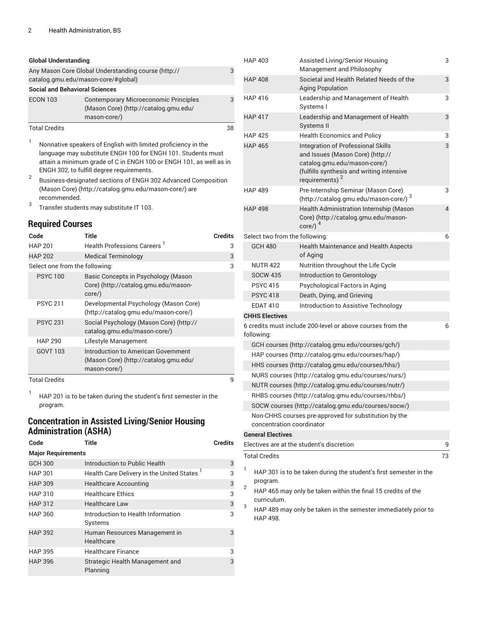| <b>Global Understanding</b>                                                                |                                                                                                       |    |
|--------------------------------------------------------------------------------------------|-------------------------------------------------------------------------------------------------------|----|
| Any Mason Core Global Understanding course (http://<br>catalog.gmu.edu/mason-core/#global) |                                                                                                       |    |
| <b>Social and Behavioral Sciences</b>                                                      |                                                                                                       |    |
| <b>ECON 103</b>                                                                            | <b>Contemporary Microeconomic Principles</b><br>(Mason Core) (http://catalog.gmu.edu/<br>mason-core/) | 3  |
| <b>Total Credits</b>                                                                       |                                                                                                       | 38 |

1 Nonnative speakers of English with limited proficiency in the language may substitute ENGH 100 for ENGH 101. Students must attain a minimum grade of C in ENGH 100 or ENGH 101, as well as in ENGH 302, to fulfill degree requirements.

2 Business-designated sections of ENGH 302 Advanced Composition [\(Mason](http://catalog.gmu.edu/mason-core/) Core) [\(http://catalog.gmu.edu/mason-core/](http://catalog.gmu.edu/mason-core/)) are recommended.

3 Transfer students may substitute IT 103.

#### **Required Courses**

| Code                           | Title                                                                                        | Credits |
|--------------------------------|----------------------------------------------------------------------------------------------|---------|
| <b>HAP 201</b>                 | Health Professions Careers <sup>1</sup>                                                      | 3       |
| <b>HAP 202</b>                 | <b>Medical Terminology</b>                                                                   | 3       |
| Select one from the following: |                                                                                              | 3       |
| <b>PSYC100</b>                 | Basic Concepts in Psychology (Mason<br>Core) (http://catalog.gmu.edu/mason-<br>core/)        |         |
| <b>PSYC 211</b>                | Developmental Psychology (Mason Core)<br>(http://catalog.gmu.edu/mason-core/)                |         |
| <b>PSYC 231</b>                | Social Psychology (Mason Core) (http://<br>catalog.gmu.edu/mason-core/)                      |         |
| <b>HAP 290</b>                 | Lifestyle Management                                                                         |         |
| GOVT 103                       | Introduction to American Government<br>(Mason Core) (http://catalog.gmu.edu/<br>mason-core/) |         |
| <b>Total Credits</b>           |                                                                                              | 9       |

1 HAP 201 is to be taken during the student's first semester in the program.

#### **Concentration in Assisted Living/Senior Housing Administration (ASHA)**

| Code                      | Title                                                | <b>Credits</b> |  |
|---------------------------|------------------------------------------------------|----------------|--|
| <b>Major Requirements</b> |                                                      |                |  |
| <b>GCH 300</b>            | Introduction to Public Health                        | 3              |  |
| <b>HAP 301</b>            | Health Care Delivery in the United States 1          | 3              |  |
| <b>HAP 309</b>            | <b>Healthcare Accounting</b>                         | 3              |  |
| <b>HAP 310</b>            | <b>Healthcare Ethics</b>                             | 3              |  |
| <b>HAP 312</b>            | <b>Healthcare Law</b>                                | 3              |  |
| <b>HAP 360</b>            | Introduction to Health Information<br><b>Systems</b> | 3              |  |
| <b>HAP 392</b>            | Human Resources Management in<br>Healthcare          | 3              |  |
| <b>HAP 395</b>            | <b>Healthcare Finance</b>                            | 3              |  |
| <b>HAP 396</b>            | Strategic Health Management and<br>Planning          | 3              |  |

|   | <b>HAP 403</b>                                                                          | Assisted Living/Senior Housing<br>Management and Philosophy                                                                                                                       | 3  |
|---|-----------------------------------------------------------------------------------------|-----------------------------------------------------------------------------------------------------------------------------------------------------------------------------------|----|
|   | <b>HAP 408</b>                                                                          | Societal and Health Related Needs of the                                                                                                                                          | 3  |
|   |                                                                                         | <b>Aging Population</b>                                                                                                                                                           |    |
|   | <b>HAP 416</b>                                                                          | Leadership and Management of Health<br>Systems I                                                                                                                                  | 3  |
|   | <b>HAP 417</b>                                                                          | Leadership and Management of Health<br>Systems II                                                                                                                                 | 3  |
|   | <b>HAP 425</b>                                                                          | <b>Health Economics and Policy</b>                                                                                                                                                | 3  |
|   | <b>HAP 465</b>                                                                          | Integration of Professional Skills<br>and Issues (Mason Core) (http://<br>catalog.gmu.edu/mason-core/)<br>(fulfills synthesis and writing intensive<br>requirements) <sup>2</sup> | 3  |
|   | <b>HAP 489</b>                                                                          | Pre-Internship Seminar (Mason Core)<br>(http://catalog.gmu.edu/mason-core/) 3                                                                                                     | 3  |
|   | <b>HAP 498</b>                                                                          | Health Administration Internship (Mason<br>Core) (http://catalog.gmu.edu/mason-<br>$core/$ ) <sup>4</sup>                                                                         | 4  |
|   | Select two from the following:                                                          |                                                                                                                                                                                   | 6  |
|   | <b>GCH 480</b>                                                                          | <b>Health Maintenance and Health Aspects</b><br>of Aging                                                                                                                          |    |
|   | <b>NUTR 422</b>                                                                         | Nutrition throughout the Life Cycle                                                                                                                                               |    |
|   | <b>SOCW 435</b>                                                                         | Introduction to Gerontology                                                                                                                                                       |    |
|   | <b>PSYC 415</b>                                                                         | Psychological Factors in Aging                                                                                                                                                    |    |
|   | <b>PSYC 418</b>                                                                         | Death, Dying, and Grieving                                                                                                                                                        |    |
|   | <b>EDAT 410</b>                                                                         | Introduction to Assistive Technology                                                                                                                                              |    |
|   | <b>CHHS Electives</b>                                                                   |                                                                                                                                                                                   |    |
|   | following:                                                                              | 6 credits must include 200-level or above courses from the                                                                                                                        | 6  |
|   |                                                                                         | GCH courses (http://catalog.gmu.edu/courses/gch/)                                                                                                                                 |    |
|   |                                                                                         | HAP courses (http://catalog.gmu.edu/courses/hap/)                                                                                                                                 |    |
|   |                                                                                         | HHS courses (http://catalog.gmu.edu/courses/hhs/)                                                                                                                                 |    |
|   |                                                                                         | NURS courses (http://catalog.gmu.edu/courses/nurs/)                                                                                                                               |    |
|   |                                                                                         | NUTR courses (http://catalog.gmu.edu/courses/nutr/)                                                                                                                               |    |
|   |                                                                                         | RHBS courses (http://catalog.gmu.edu/courses/rhbs/)                                                                                                                               |    |
|   |                                                                                         | SOCW courses (http://catalog.gmu.edu/courses/socw/)                                                                                                                               |    |
|   | concentration coordinator                                                               | Non-CHHS courses pre-approved for substitution by the                                                                                                                             |    |
|   | <b>General Electives</b>                                                                |                                                                                                                                                                                   |    |
|   |                                                                                         | Electives are at the student's discretion                                                                                                                                         | 9  |
|   | <b>Total Credits</b>                                                                    |                                                                                                                                                                                   | 73 |
| 1 |                                                                                         | HAP 301 is to be taken during the student's first semester in the                                                                                                                 |    |
| 2 | program.<br>HAP 465 may only be taken within the final 15 credits of the<br>curriculum. |                                                                                                                                                                                   |    |
| 3 | HAP 498.                                                                                | HAP 489 may only be taken in the semester immediately prior to                                                                                                                    |    |
|   |                                                                                         |                                                                                                                                                                                   |    |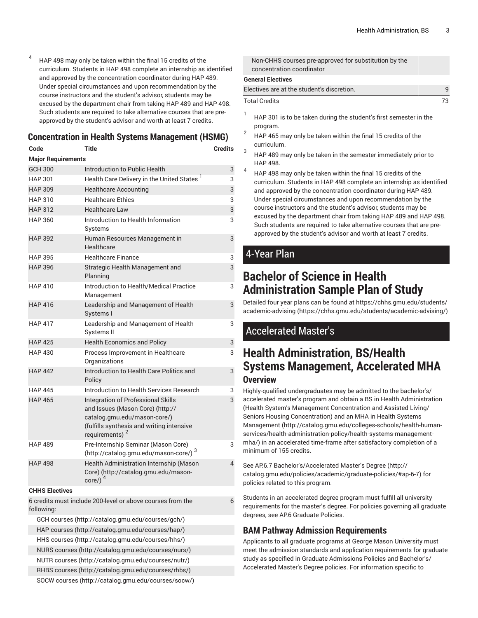4 HAP 498 may only be taken within the final 15 credits of the curriculum. Students in HAP 498 complete an internship as identified and approved by the concentration coordinator during HAP 489. Under special circumstances and upon recommendation by the course instructors and the student's advisor, students may be excused by the department chair from taking HAP 489 and HAP 498. Such students are required to take alternative courses that are preapproved by the student's advisor and worth at least 7 credits.

|                           | <b>Concentration in Health Systems Management (HSMG)</b>                                                                                                                 |                |
|---------------------------|--------------------------------------------------------------------------------------------------------------------------------------------------------------------------|----------------|
| Code                      | <b>Title</b>                                                                                                                                                             | <b>Credits</b> |
| <b>Major Requirements</b> |                                                                                                                                                                          |                |
| <b>GCH 300</b>            | Introduction to Public Health                                                                                                                                            | 3              |
| <b>HAP 301</b>            | Health Care Delivery in the United States <sup>1</sup>                                                                                                                   | 3              |
| <b>HAP 309</b>            | <b>Healthcare Accounting</b>                                                                                                                                             | 3              |
| <b>HAP 310</b>            | <b>Healthcare Ethics</b>                                                                                                                                                 | 3              |
| <b>HAP 312</b>            | <b>Healthcare Law</b>                                                                                                                                                    | 3              |
| <b>HAP 360</b>            | Introduction to Health Information<br>Systems                                                                                                                            | 3              |
| <b>HAP 392</b>            | Human Resources Management in<br>Healthcare                                                                                                                              | 3              |
| <b>HAP 395</b>            | <b>Healthcare Finance</b>                                                                                                                                                | 3              |
| <b>HAP 396</b>            | Strategic Health Management and<br>Planning                                                                                                                              | 3              |
| <b>HAP 410</b>            | Introduction to Health/Medical Practice<br>Management                                                                                                                    | 3              |
| <b>HAP 416</b>            | Leadership and Management of Health<br>Systems I                                                                                                                         | 3              |
| <b>HAP 417</b>            | Leadership and Management of Health<br>Systems II                                                                                                                        | 3              |
| <b>HAP 425</b>            | <b>Health Economics and Policy</b>                                                                                                                                       | 3              |
| <b>HAP 430</b>            | Process Improvement in Healthcare<br>Organizations                                                                                                                       | 3              |
| <b>HAP 442</b>            | Introduction to Health Care Politics and<br>Policy                                                                                                                       | 3              |
| <b>HAP 445</b>            | Introduction to Health Services Research                                                                                                                                 | 3              |
| <b>HAP 465</b>            | Integration of Professional Skills<br>and Issues (Mason Core) (http://<br>catalog.gmu.edu/mason-core/)<br>(fulfills synthesis and writing intensive<br>requirements) $2$ | 3              |
| <b>HAP 489</b>            | Pre-Internship Seminar (Mason Core)<br>(http://catalog.gmu.edu/mason-core/) 3                                                                                            | 3              |
| <b>HAP 498</b>            | Health Administration Internship (Mason<br>Core) (http://catalog.gmu.edu/mason-<br>core/) $4$                                                                            | $\overline{4}$ |
| <b>CHHS Electives</b>     |                                                                                                                                                                          |                |
|                           | 6 credits must include 200-level or above courses from the                                                                                                               | 6              |
| following:                |                                                                                                                                                                          |                |
|                           | GCH courses (http://catalog.gmu.edu/courses/gch/)                                                                                                                        |                |
|                           | HAP courses (http://catalog.gmu.edu/courses/hap/)                                                                                                                        |                |
|                           | HHS courses (http://catalog.gmu.edu/courses/hhs/)                                                                                                                        |                |
|                           | NURS courses (http://catalog.gmu.edu/courses/nurs/)                                                                                                                      |                |

[NUTR courses \(http://catalog.gmu.edu/courses/nutr/](http://catalog.gmu.edu/courses/nutr/))

[RHBS courses \(http://catalog.gmu.edu/courses/rhbs/\)](http://catalog.gmu.edu/courses/rhbs/)

[SOCW courses](http://catalog.gmu.edu/courses/socw/) (<http://catalog.gmu.edu/courses/socw/>)

Non-CHHS courses pre-approved for substitution by the concentration coordinator

#### **General Electives**

| Electives are at the student's discretion. |  |
|--------------------------------------------|--|
| Total Credits                              |  |

- 1 HAP 301 is to be taken during the student's first semester in the program.
- 2 HAP 465 may only be taken within the final 15 credits of the curriculum.
- 3 HAP 489 may only be taken in the semester immediately prior to HAP 498.
- 4 HAP 498 may only be taken within the final 15 credits of the curriculum. Students in HAP 498 complete an internship as identified and approved by the concentration coordinator during HAP 489. Under special circumstances and upon recommendation by the course instructors and the student's advisor, students may be excused by the department chair from taking HAP 489 and HAP 498. Such students are required to take alternative courses that are preapproved by the student's advisor and worth at least 7 credits.

## 4-Year Plan

3

3

3

3

3

3

3

3

3

3

3

4

6

# **Bachelor of Science in Health Administration Sample Plan of Study**

Detailed four year plans can be found at [https://chhs.gmu.edu/students/](https://chhs.gmu.edu/students/academic-advising/) [academic-advising \(https://chhs.gmu.edu/students/academic-advising/](https://chhs.gmu.edu/students/academic-advising/))

# Accelerated Master's

# **Health Administration, BS/Health Systems Management, Accelerated MHA Overview**

Highly-qualified undergraduates may be admitted to the bachelor's/ accelerated master's program and obtain a [BS in Health Administration](#page-0-0) (Health System's Management Concentration and Assisted Living/ Seniors Housing Concentration) and an MHA in Health [Systems](http://catalog.gmu.edu/colleges-schools/health-human-services/health-administration-policy/health-systems-management-mha/) [Management](http://catalog.gmu.edu/colleges-schools/health-human-services/health-administration-policy/health-systems-management-mha/) ([http://catalog.gmu.edu/colleges-schools/health-human](http://catalog.gmu.edu/colleges-schools/health-human-services/health-administration-policy/health-systems-management-mha/)[services/health-administration-policy/health-systems-management](http://catalog.gmu.edu/colleges-schools/health-human-services/health-administration-policy/health-systems-management-mha/)[mha/\)](http://catalog.gmu.edu/colleges-schools/health-human-services/health-administration-policy/health-systems-management-mha/) in an accelerated time-frame after satisfactory completion of a minimum of 155 credits.

See AP.6.7 [Bachelor's/Accelerated](http://catalog.gmu.edu/policies/academic/graduate-policies/#ap-6-7) Master's Degree ([http://](http://catalog.gmu.edu/policies/academic/graduate-policies/#ap-6-7) [catalog.gmu.edu/policies/academic/graduate-policies/#ap-6-7](http://catalog.gmu.edu/policies/academic/graduate-policies/#ap-6-7)) for policies related to this program.

Students in an accelerated degree program must fulfill all university requirements for the master's degree. For policies governing all graduate degrees, see AP.6 Graduate Policies.

### **BAM Pathway Admission Requirements**

Applicants to all graduate programs at George Mason University must meet the admission standards and application requirements for graduate study as specified in Graduate Admissions Policies and Bachelor's/ Accelerated Master's Degree policies. For information specific to